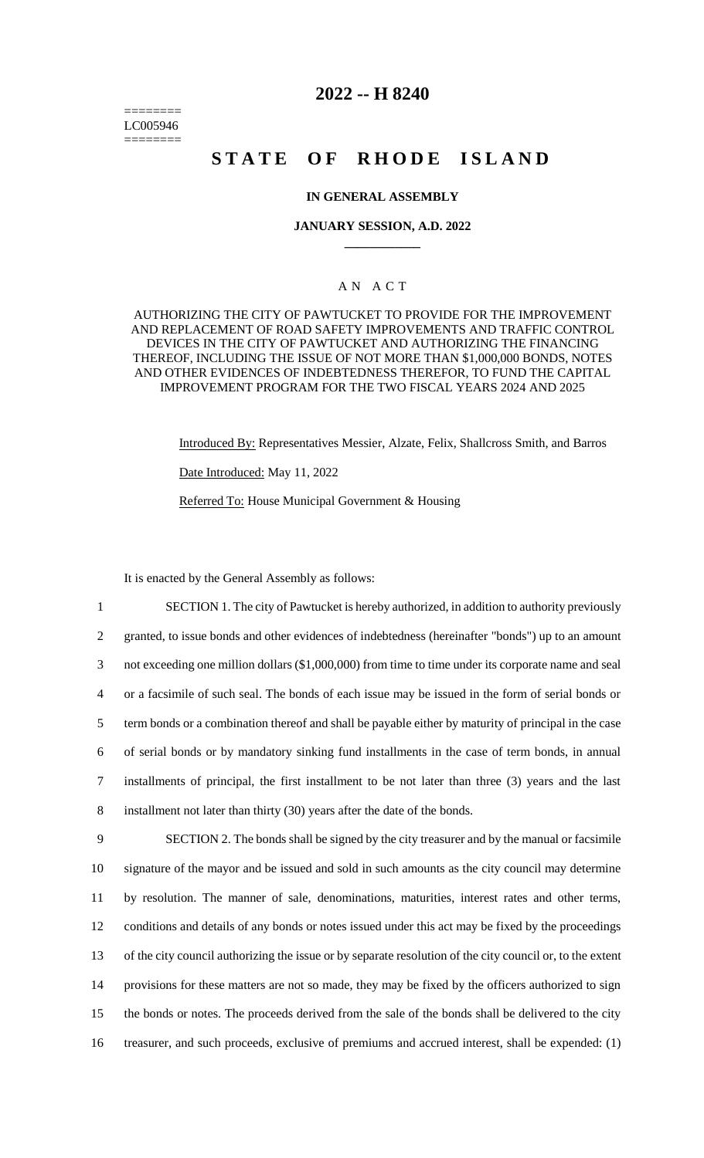======== LC005946 ========

# **2022 -- H 8240**

# **STATE OF RHODE ISLAND**

# **IN GENERAL ASSEMBLY**

#### **JANUARY SESSION, A.D. 2022 \_\_\_\_\_\_\_\_\_\_\_\_**

# A N A C T

#### AUTHORIZING THE CITY OF PAWTUCKET TO PROVIDE FOR THE IMPROVEMENT AND REPLACEMENT OF ROAD SAFETY IMPROVEMENTS AND TRAFFIC CONTROL DEVICES IN THE CITY OF PAWTUCKET AND AUTHORIZING THE FINANCING THEREOF, INCLUDING THE ISSUE OF NOT MORE THAN \$1,000,000 BONDS, NOTES AND OTHER EVIDENCES OF INDEBTEDNESS THEREFOR, TO FUND THE CAPITAL IMPROVEMENT PROGRAM FOR THE TWO FISCAL YEARS 2024 AND 2025

Introduced By: Representatives Messier, Alzate, Felix, Shallcross Smith, and Barros Date Introduced: May 11, 2022 Referred To: House Municipal Government & Housing

It is enacted by the General Assembly as follows:

 SECTION 1. The city of Pawtucket is hereby authorized, in addition to authority previously granted, to issue bonds and other evidences of indebtedness (hereinafter "bonds") up to an amount not exceeding one million dollars (\$1,000,000) from time to time under its corporate name and seal or a facsimile of such seal. The bonds of each issue may be issued in the form of serial bonds or term bonds or a combination thereof and shall be payable either by maturity of principal in the case of serial bonds or by mandatory sinking fund installments in the case of term bonds, in annual installments of principal, the first installment to be not later than three (3) years and the last installment not later than thirty (30) years after the date of the bonds. SECTION 2. The bonds shall be signed by the city treasurer and by the manual or facsimile signature of the mayor and be issued and sold in such amounts as the city council may determine by resolution. The manner of sale, denominations, maturities, interest rates and other terms, conditions and details of any bonds or notes issued under this act may be fixed by the proceedings of the city council authorizing the issue or by separate resolution of the city council or, to the extent

14 provisions for these matters are not so made, they may be fixed by the officers authorized to sign 15 the bonds or notes. The proceeds derived from the sale of the bonds shall be delivered to the city 16 treasurer, and such proceeds, exclusive of premiums and accrued interest, shall be expended: (1)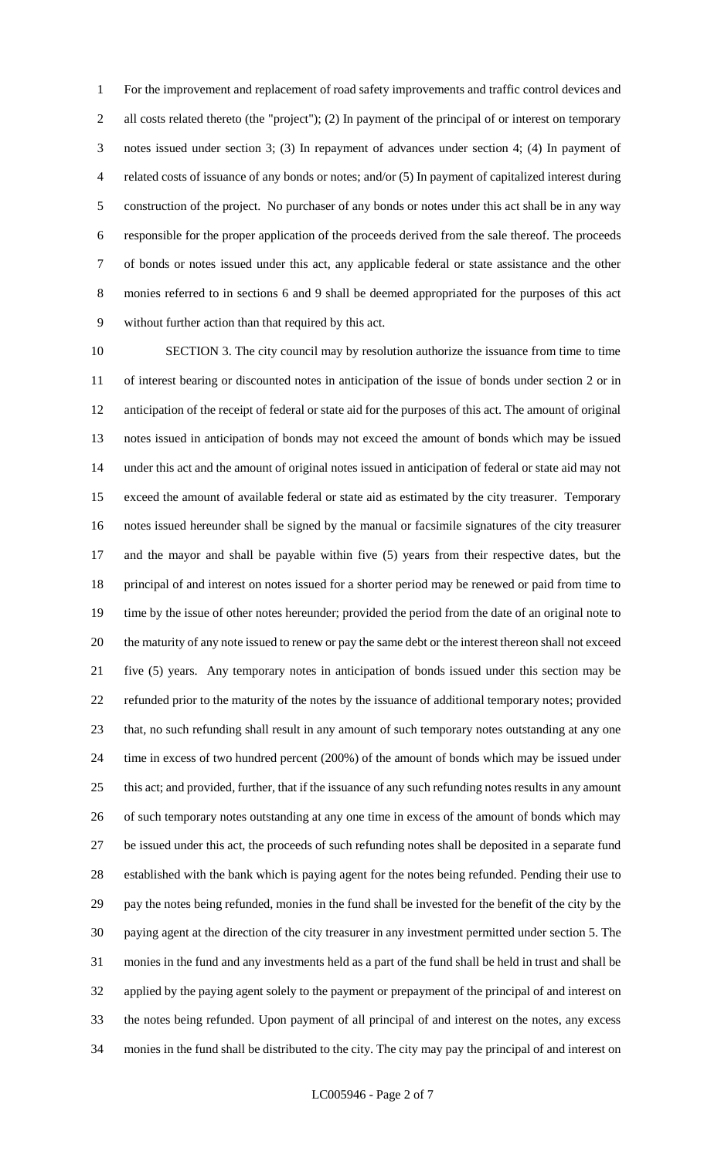For the improvement and replacement of road safety improvements and traffic control devices and all costs related thereto (the "project"); (2) In payment of the principal of or interest on temporary notes issued under section 3; (3) In repayment of advances under section 4; (4) In payment of related costs of issuance of any bonds or notes; and/or (5) In payment of capitalized interest during construction of the project. No purchaser of any bonds or notes under this act shall be in any way responsible for the proper application of the proceeds derived from the sale thereof. The proceeds of bonds or notes issued under this act, any applicable federal or state assistance and the other monies referred to in sections 6 and 9 shall be deemed appropriated for the purposes of this act without further action than that required by this act.

 SECTION 3. The city council may by resolution authorize the issuance from time to time of interest bearing or discounted notes in anticipation of the issue of bonds under section 2 or in anticipation of the receipt of federal or state aid for the purposes of this act. The amount of original notes issued in anticipation of bonds may not exceed the amount of bonds which may be issued under this act and the amount of original notes issued in anticipation of federal or state aid may not exceed the amount of available federal or state aid as estimated by the city treasurer. Temporary notes issued hereunder shall be signed by the manual or facsimile signatures of the city treasurer and the mayor and shall be payable within five (5) years from their respective dates, but the principal of and interest on notes issued for a shorter period may be renewed or paid from time to time by the issue of other notes hereunder; provided the period from the date of an original note to the maturity of any note issued to renew or pay the same debt or the interest thereon shall not exceed five (5) years. Any temporary notes in anticipation of bonds issued under this section may be refunded prior to the maturity of the notes by the issuance of additional temporary notes; provided that, no such refunding shall result in any amount of such temporary notes outstanding at any one time in excess of two hundred percent (200%) of the amount of bonds which may be issued under this act; and provided, further, that if the issuance of any such refunding notes results in any amount of such temporary notes outstanding at any one time in excess of the amount of bonds which may be issued under this act, the proceeds of such refunding notes shall be deposited in a separate fund established with the bank which is paying agent for the notes being refunded. Pending their use to pay the notes being refunded, monies in the fund shall be invested for the benefit of the city by the paying agent at the direction of the city treasurer in any investment permitted under section 5. The monies in the fund and any investments held as a part of the fund shall be held in trust and shall be applied by the paying agent solely to the payment or prepayment of the principal of and interest on the notes being refunded. Upon payment of all principal of and interest on the notes, any excess monies in the fund shall be distributed to the city. The city may pay the principal of and interest on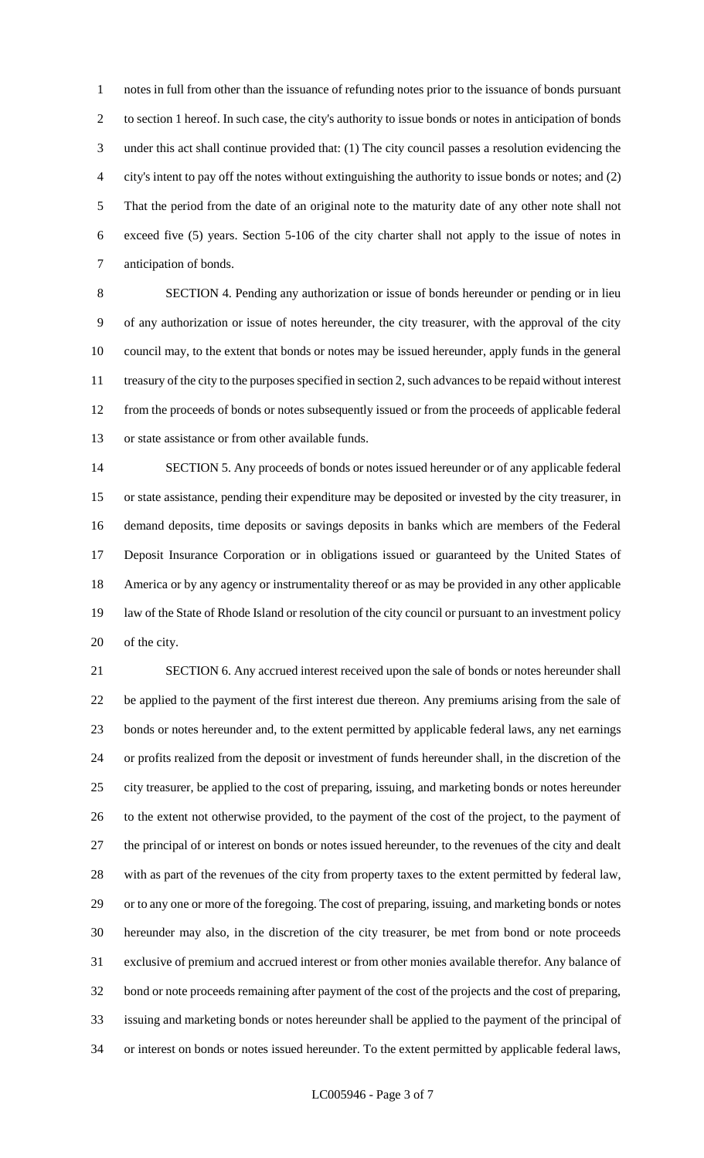notes in full from other than the issuance of refunding notes prior to the issuance of bonds pursuant to section 1 hereof. In such case, the city's authority to issue bonds or notes in anticipation of bonds under this act shall continue provided that: (1) The city council passes a resolution evidencing the city's intent to pay off the notes without extinguishing the authority to issue bonds or notes; and (2) That the period from the date of an original note to the maturity date of any other note shall not exceed five (5) years. Section 5-106 of the city charter shall not apply to the issue of notes in anticipation of bonds.

 SECTION 4. Pending any authorization or issue of bonds hereunder or pending or in lieu of any authorization or issue of notes hereunder, the city treasurer, with the approval of the city council may, to the extent that bonds or notes may be issued hereunder, apply funds in the general treasury of the city to the purposes specified in section 2, such advances to be repaid without interest from the proceeds of bonds or notes subsequently issued or from the proceeds of applicable federal or state assistance or from other available funds.

 SECTION 5. Any proceeds of bonds or notes issued hereunder or of any applicable federal or state assistance, pending their expenditure may be deposited or invested by the city treasurer, in demand deposits, time deposits or savings deposits in banks which are members of the Federal Deposit Insurance Corporation or in obligations issued or guaranteed by the United States of America or by any agency or instrumentality thereof or as may be provided in any other applicable law of the State of Rhode Island or resolution of the city council or pursuant to an investment policy of the city.

 SECTION 6. Any accrued interest received upon the sale of bonds or notes hereunder shall be applied to the payment of the first interest due thereon. Any premiums arising from the sale of bonds or notes hereunder and, to the extent permitted by applicable federal laws, any net earnings or profits realized from the deposit or investment of funds hereunder shall, in the discretion of the city treasurer, be applied to the cost of preparing, issuing, and marketing bonds or notes hereunder to the extent not otherwise provided, to the payment of the cost of the project, to the payment of the principal of or interest on bonds or notes issued hereunder, to the revenues of the city and dealt with as part of the revenues of the city from property taxes to the extent permitted by federal law, or to any one or more of the foregoing. The cost of preparing, issuing, and marketing bonds or notes hereunder may also, in the discretion of the city treasurer, be met from bond or note proceeds exclusive of premium and accrued interest or from other monies available therefor. Any balance of bond or note proceeds remaining after payment of the cost of the projects and the cost of preparing, issuing and marketing bonds or notes hereunder shall be applied to the payment of the principal of or interest on bonds or notes issued hereunder. To the extent permitted by applicable federal laws,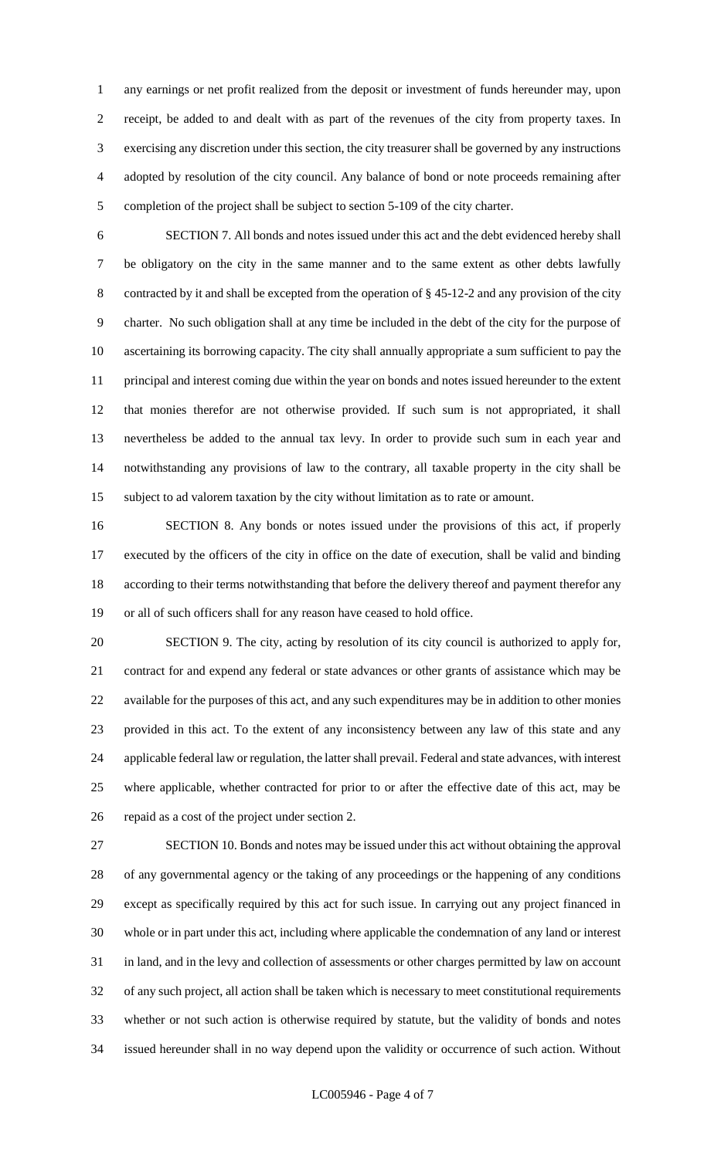any earnings or net profit realized from the deposit or investment of funds hereunder may, upon receipt, be added to and dealt with as part of the revenues of the city from property taxes. In exercising any discretion under this section, the city treasurer shall be governed by any instructions adopted by resolution of the city council. Any balance of bond or note proceeds remaining after completion of the project shall be subject to section 5-109 of the city charter.

 SECTION 7. All bonds and notes issued under this act and the debt evidenced hereby shall be obligatory on the city in the same manner and to the same extent as other debts lawfully contracted by it and shall be excepted from the operation of § 45-12-2 and any provision of the city charter. No such obligation shall at any time be included in the debt of the city for the purpose of ascertaining its borrowing capacity. The city shall annually appropriate a sum sufficient to pay the principal and interest coming due within the year on bonds and notes issued hereunder to the extent that monies therefor are not otherwise provided. If such sum is not appropriated, it shall nevertheless be added to the annual tax levy. In order to provide such sum in each year and notwithstanding any provisions of law to the contrary, all taxable property in the city shall be subject to ad valorem taxation by the city without limitation as to rate or amount.

 SECTION 8. Any bonds or notes issued under the provisions of this act, if properly executed by the officers of the city in office on the date of execution, shall be valid and binding according to their terms notwithstanding that before the delivery thereof and payment therefor any or all of such officers shall for any reason have ceased to hold office.

 SECTION 9. The city, acting by resolution of its city council is authorized to apply for, contract for and expend any federal or state advances or other grants of assistance which may be available for the purposes of this act, and any such expenditures may be in addition to other monies provided in this act. To the extent of any inconsistency between any law of this state and any applicable federal law or regulation, the latter shall prevail. Federal and state advances, with interest where applicable, whether contracted for prior to or after the effective date of this act, may be repaid as a cost of the project under section 2.

 SECTION 10. Bonds and notes may be issued under this act without obtaining the approval of any governmental agency or the taking of any proceedings or the happening of any conditions except as specifically required by this act for such issue. In carrying out any project financed in whole or in part under this act, including where applicable the condemnation of any land or interest in land, and in the levy and collection of assessments or other charges permitted by law on account of any such project, all action shall be taken which is necessary to meet constitutional requirements whether or not such action is otherwise required by statute, but the validity of bonds and notes issued hereunder shall in no way depend upon the validity or occurrence of such action. Without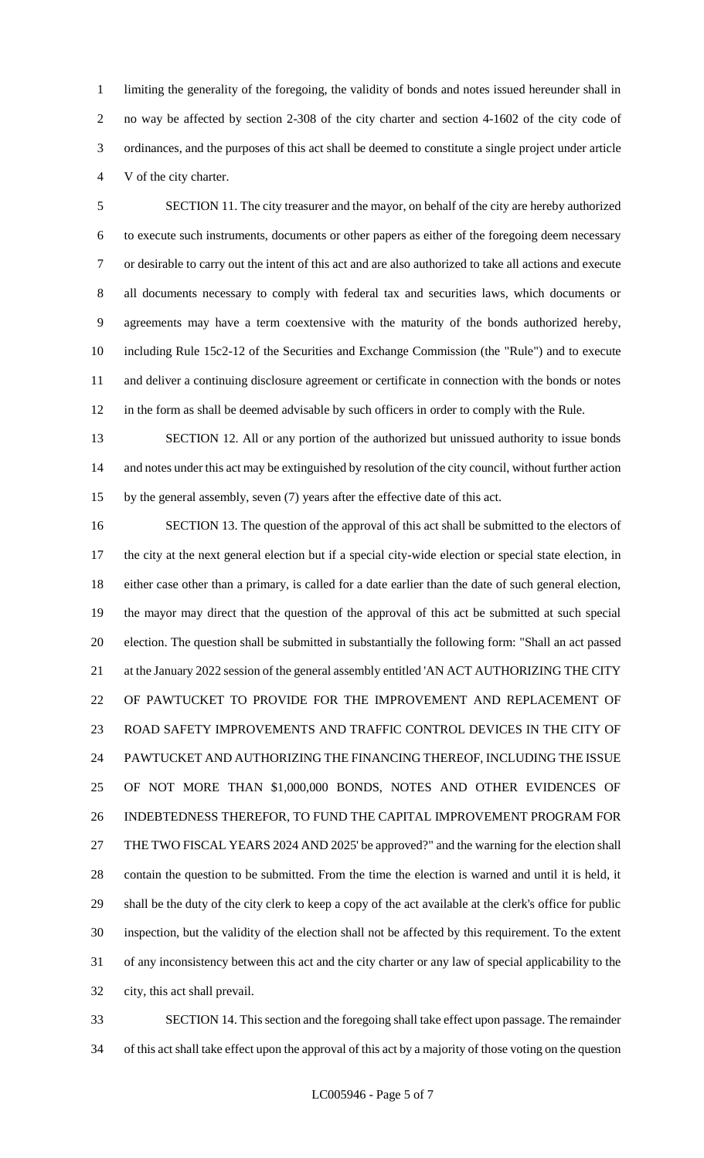limiting the generality of the foregoing, the validity of bonds and notes issued hereunder shall in no way be affected by section 2-308 of the city charter and section 4-1602 of the city code of ordinances, and the purposes of this act shall be deemed to constitute a single project under article V of the city charter.

 SECTION 11. The city treasurer and the mayor, on behalf of the city are hereby authorized to execute such instruments, documents or other papers as either of the foregoing deem necessary or desirable to carry out the intent of this act and are also authorized to take all actions and execute all documents necessary to comply with federal tax and securities laws, which documents or agreements may have a term coextensive with the maturity of the bonds authorized hereby, including Rule 15c2-12 of the Securities and Exchange Commission (the "Rule") and to execute and deliver a continuing disclosure agreement or certificate in connection with the bonds or notes in the form as shall be deemed advisable by such officers in order to comply with the Rule.

 SECTION 12. All or any portion of the authorized but unissued authority to issue bonds and notes under this act may be extinguished by resolution of the city council, without further action by the general assembly, seven (7) years after the effective date of this act.

 SECTION 13. The question of the approval of this act shall be submitted to the electors of the city at the next general election but if a special city-wide election or special state election, in either case other than a primary, is called for a date earlier than the date of such general election, the mayor may direct that the question of the approval of this act be submitted at such special election. The question shall be submitted in substantially the following form: "Shall an act passed 21 at the January 2022 session of the general assembly entitled 'AN ACT AUTHORIZING THE CITY OF PAWTUCKET TO PROVIDE FOR THE IMPROVEMENT AND REPLACEMENT OF ROAD SAFETY IMPROVEMENTS AND TRAFFIC CONTROL DEVICES IN THE CITY OF PAWTUCKET AND AUTHORIZING THE FINANCING THEREOF, INCLUDING THE ISSUE OF NOT MORE THAN \$1,000,000 BONDS, NOTES AND OTHER EVIDENCES OF INDEBTEDNESS THEREFOR, TO FUND THE CAPITAL IMPROVEMENT PROGRAM FOR THE TWO FISCAL YEARS 2024 AND 2025' be approved?" and the warning for the election shall contain the question to be submitted. From the time the election is warned and until it is held, it shall be the duty of the city clerk to keep a copy of the act available at the clerk's office for public inspection, but the validity of the election shall not be affected by this requirement. To the extent of any inconsistency between this act and the city charter or any law of special applicability to the city, this act shall prevail.

 SECTION 14. This section and the foregoing shall take effect upon passage. The remainder of this act shall take effect upon the approval of this act by a majority of those voting on the question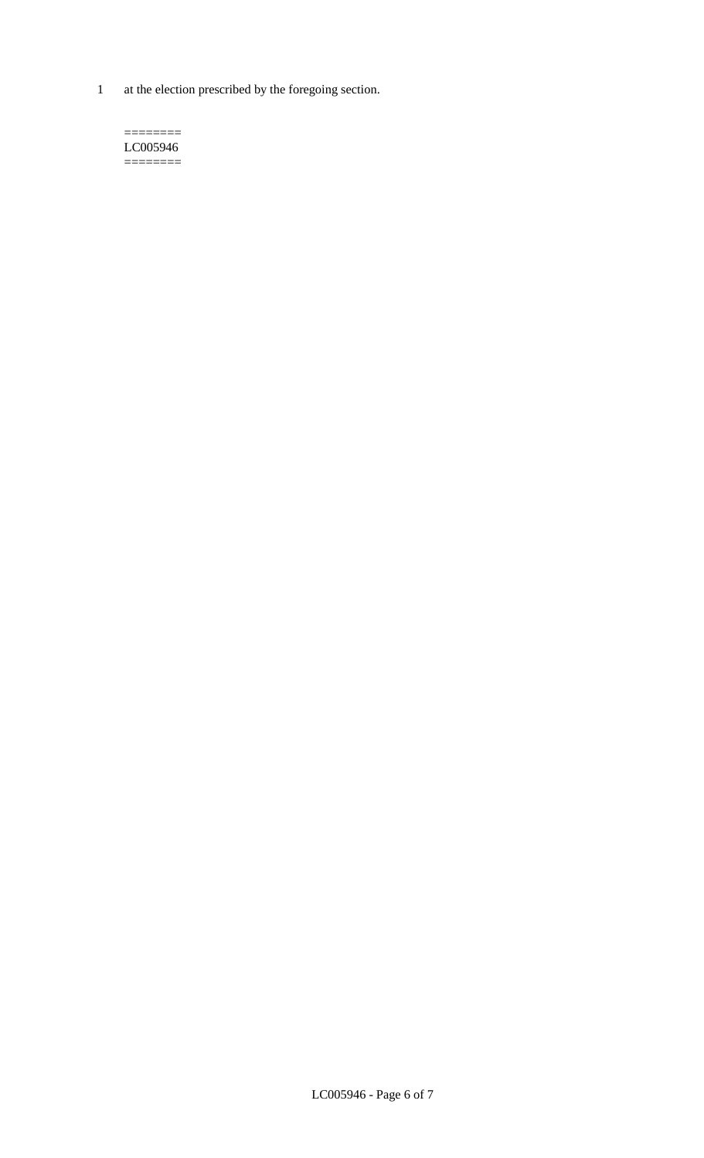1 at the election prescribed by the foregoing section.

 $=$ LC005946 ========